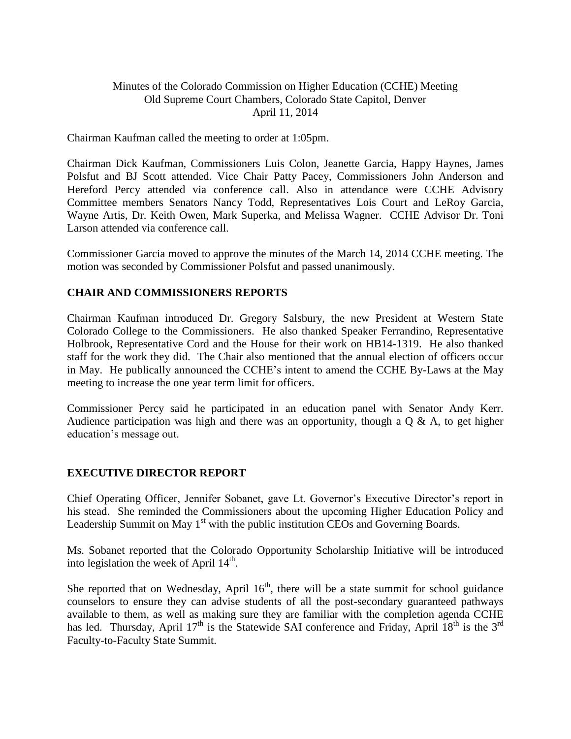## Minutes of the Colorado Commission on Higher Education (CCHE) Meeting Old Supreme Court Chambers, Colorado State Capitol, Denver April 11, 2014

Chairman Kaufman called the meeting to order at 1:05pm.

Chairman Dick Kaufman, Commissioners Luis Colon, Jeanette Garcia, Happy Haynes, James Polsfut and BJ Scott attended. Vice Chair Patty Pacey, Commissioners John Anderson and Hereford Percy attended via conference call. Also in attendance were CCHE Advisory Committee members Senators Nancy Todd, Representatives Lois Court and LeRoy Garcia, Wayne Artis, Dr. Keith Owen, Mark Superka, and Melissa Wagner. CCHE Advisor Dr. Toni Larson attended via conference call.

Commissioner Garcia moved to approve the minutes of the March 14, 2014 CCHE meeting. The motion was seconded by Commissioner Polsfut and passed unanimously.

## **CHAIR AND COMMISSIONERS REPORTS**

Chairman Kaufman introduced Dr. Gregory Salsbury, the new President at Western State Colorado College to the Commissioners. He also thanked Speaker Ferrandino, Representative Holbrook, Representative Cord and the House for their work on HB14-1319. He also thanked staff for the work they did. The Chair also mentioned that the annual election of officers occur in May. He publically announced the CCHE's intent to amend the CCHE By-Laws at the May meeting to increase the one year term limit for officers.

Commissioner Percy said he participated in an education panel with Senator Andy Kerr. Audience participation was high and there was an opportunity, though a  $\overline{O}$  & A, to get higher education's message out.

## **EXECUTIVE DIRECTOR REPORT**

Chief Operating Officer, Jennifer Sobanet, gave Lt. Governor's Executive Director's report in his stead. She reminded the Commissioners about the upcoming Higher Education Policy and Leadership Summit on May  $1<sup>st</sup>$  with the public institution CEOs and Governing Boards.

Ms. Sobanet reported that the Colorado Opportunity Scholarship Initiative will be introduced into legislation the week of April  $14<sup>th</sup>$ .

She reported that on Wednesday, April  $16<sup>th</sup>$ , there will be a state summit for school guidance counselors to ensure they can advise students of all the post-secondary guaranteed pathways available to them, as well as making sure they are familiar with the completion agenda CCHE has led. Thursday, April  $17<sup>th</sup>$  is the Statewide SAI conference and Friday, April  $18<sup>th</sup>$  is the 3<sup>rd</sup> Faculty-to-Faculty State Summit.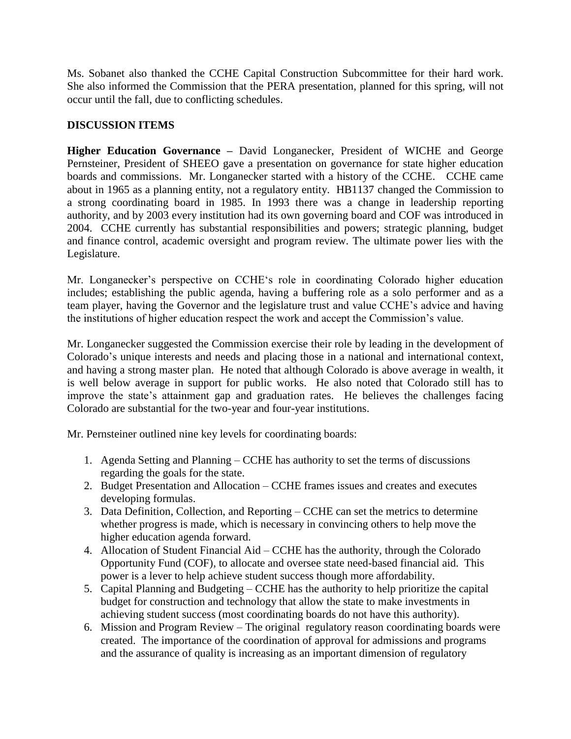Ms. Sobanet also thanked the CCHE Capital Construction Subcommittee for their hard work. She also informed the Commission that the PERA presentation, planned for this spring, will not occur until the fall, due to conflicting schedules.

# **DISCUSSION ITEMS**

**Higher Education Governance –** David Longanecker, President of WICHE and George Pernsteiner, President of SHEEO gave a presentation on governance for state higher education boards and commissions. Mr. Longanecker started with a history of the CCHE. CCHE came about in 1965 as a planning entity, not a regulatory entity. HB1137 changed the Commission to a strong coordinating board in 1985. In 1993 there was a change in leadership reporting authority, and by 2003 every institution had its own governing board and COF was introduced in 2004. CCHE currently has substantial responsibilities and powers; strategic planning, budget and finance control, academic oversight and program review. The ultimate power lies with the Legislature.

Mr. Longanecker's perspective on CCHE's role in coordinating Colorado higher education includes; establishing the public agenda, having a buffering role as a solo performer and as a team player, having the Governor and the legislature trust and value CCHE's advice and having the institutions of higher education respect the work and accept the Commission's value.

Mr. Longanecker suggested the Commission exercise their role by leading in the development of Colorado's unique interests and needs and placing those in a national and international context, and having a strong master plan. He noted that although Colorado is above average in wealth, it is well below average in support for public works. He also noted that Colorado still has to improve the state's attainment gap and graduation rates. He believes the challenges facing Colorado are substantial for the two-year and four-year institutions.

Mr. Pernsteiner outlined nine key levels for coordinating boards:

- 1. Agenda Setting and Planning CCHE has authority to set the terms of discussions regarding the goals for the state.
- 2. Budget Presentation and Allocation CCHE frames issues and creates and executes developing formulas.
- 3. Data Definition, Collection, and Reporting CCHE can set the metrics to determine whether progress is made, which is necessary in convincing others to help move the higher education agenda forward.
- 4. Allocation of Student Financial Aid CCHE has the authority, through the Colorado Opportunity Fund (COF), to allocate and oversee state need-based financial aid. This power is a lever to help achieve student success though more affordability.
- 5. Capital Planning and Budgeting CCHE has the authority to help prioritize the capital budget for construction and technology that allow the state to make investments in achieving student success (most coordinating boards do not have this authority).
- 6. Mission and Program Review The original regulatory reason coordinating boards were created. The importance of the coordination of approval for admissions and programs and the assurance of quality is increasing as an important dimension of regulatory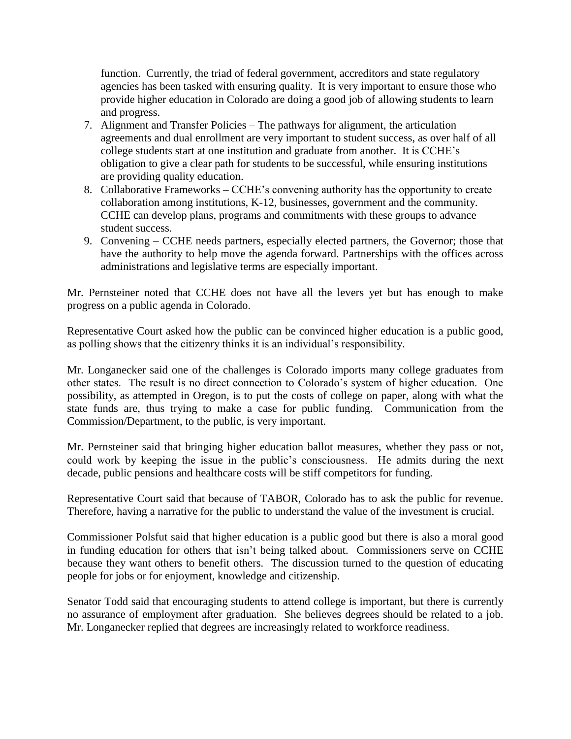function. Currently, the triad of federal government, accreditors and state regulatory agencies has been tasked with ensuring quality. It is very important to ensure those who provide higher education in Colorado are doing a good job of allowing students to learn and progress.

- 7. Alignment and Transfer Policies The pathways for alignment, the articulation agreements and dual enrollment are very important to student success, as over half of all college students start at one institution and graduate from another. It is CCHE's obligation to give a clear path for students to be successful, while ensuring institutions are providing quality education.
- 8. Collaborative Frameworks CCHE's convening authority has the opportunity to create collaboration among institutions, K-12, businesses, government and the community. CCHE can develop plans, programs and commitments with these groups to advance student success.
- 9. Convening CCHE needs partners, especially elected partners, the Governor; those that have the authority to help move the agenda forward. Partnerships with the offices across administrations and legislative terms are especially important.

Mr. Pernsteiner noted that CCHE does not have all the levers yet but has enough to make progress on a public agenda in Colorado.

Representative Court asked how the public can be convinced higher education is a public good, as polling shows that the citizenry thinks it is an individual's responsibility.

Mr. Longanecker said one of the challenges is Colorado imports many college graduates from other states. The result is no direct connection to Colorado's system of higher education. One possibility, as attempted in Oregon, is to put the costs of college on paper, along with what the state funds are, thus trying to make a case for public funding. Communication from the Commission/Department, to the public, is very important.

Mr. Pernsteiner said that bringing higher education ballot measures, whether they pass or not, could work by keeping the issue in the public's consciousness. He admits during the next decade, public pensions and healthcare costs will be stiff competitors for funding.

Representative Court said that because of TABOR, Colorado has to ask the public for revenue. Therefore, having a narrative for the public to understand the value of the investment is crucial.

Commissioner Polsfut said that higher education is a public good but there is also a moral good in funding education for others that isn't being talked about. Commissioners serve on CCHE because they want others to benefit others. The discussion turned to the question of educating people for jobs or for enjoyment, knowledge and citizenship.

Senator Todd said that encouraging students to attend college is important, but there is currently no assurance of employment after graduation. She believes degrees should be related to a job. Mr. Longanecker replied that degrees are increasingly related to workforce readiness.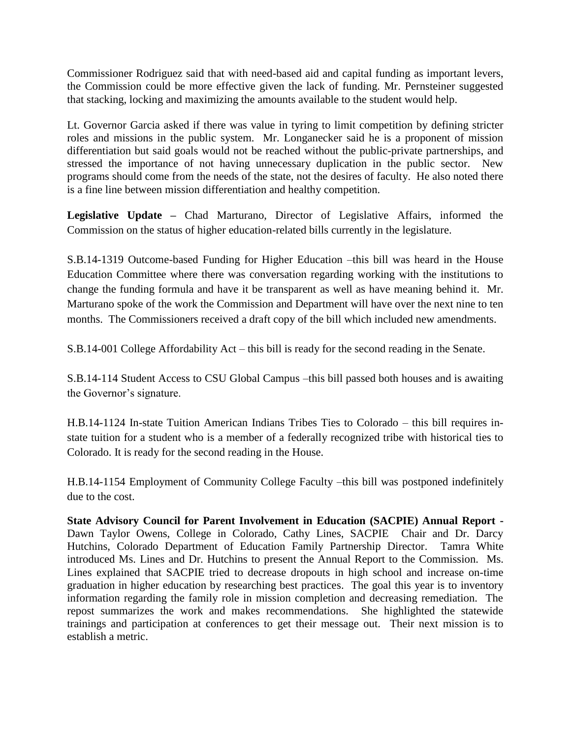Commissioner Rodriguez said that with need-based aid and capital funding as important levers, the Commission could be more effective given the lack of funding. Mr. Pernsteiner suggested that stacking, locking and maximizing the amounts available to the student would help.

Lt. Governor Garcia asked if there was value in tyring to limit competition by defining stricter roles and missions in the public system. Mr. Longanecker said he is a proponent of mission differentiation but said goals would not be reached without the public-private partnerships, and stressed the importance of not having unnecessary duplication in the public sector. New programs should come from the needs of the state, not the desires of faculty. He also noted there is a fine line between mission differentiation and healthy competition.

**Legislative Update –** Chad Marturano, Director of Legislative Affairs, informed the Commission on the status of higher education-related bills currently in the legislature.

S.B.14-1319 Outcome-based Funding for Higher Education –this bill was heard in the House Education Committee where there was conversation regarding working with the institutions to change the funding formula and have it be transparent as well as have meaning behind it. Mr. Marturano spoke of the work the Commission and Department will have over the next nine to ten months. The Commissioners received a draft copy of the bill which included new amendments.

S.B.14-001 College Affordability Act – this bill is ready for the second reading in the Senate.

S.B.14-114 Student Access to CSU Global Campus –this bill passed both houses and is awaiting the Governor's signature.

H.B.14-1124 In-state Tuition American Indians Tribes Ties to Colorado – this bill requires instate tuition for a student who is a member of a federally recognized tribe with historical ties to Colorado. It is ready for the second reading in the House.

H.B.14-1154 Employment of Community College Faculty –this bill was postponed indefinitely due to the cost.

**State Advisory Council for Parent Involvement in Education (SACPIE) Annual Report -** Dawn Taylor Owens, College in Colorado, Cathy Lines, SACPIE Chair and Dr. Darcy Hutchins, Colorado Department of Education Family Partnership Director. Tamra White introduced Ms. Lines and Dr. Hutchins to present the Annual Report to the Commission. Ms. Lines explained that SACPIE tried to decrease dropouts in high school and increase on-time graduation in higher education by researching best practices. The goal this year is to inventory information regarding the family role in mission completion and decreasing remediation. The repost summarizes the work and makes recommendations. She highlighted the statewide trainings and participation at conferences to get their message out. Their next mission is to establish a metric.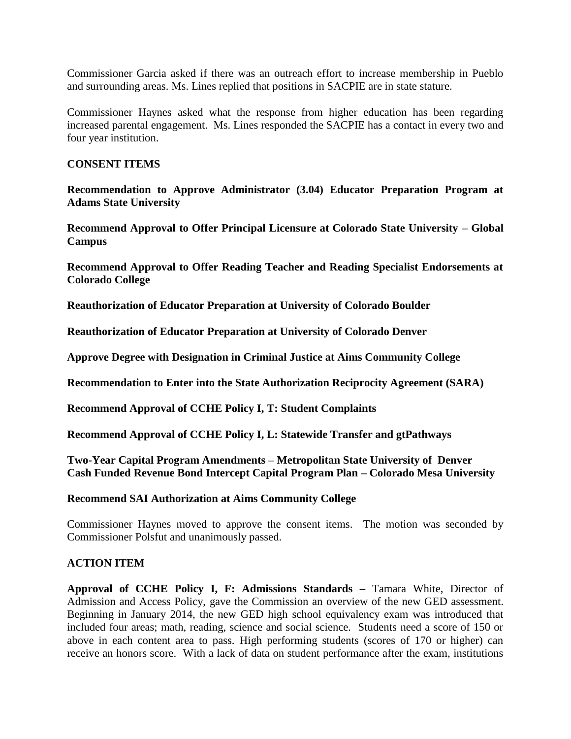Commissioner Garcia asked if there was an outreach effort to increase membership in Pueblo and surrounding areas. Ms. Lines replied that positions in SACPIE are in state stature.

Commissioner Haynes asked what the response from higher education has been regarding increased parental engagement. Ms. Lines responded the SACPIE has a contact in every two and four year institution.

## **CONSENT ITEMS**

**Recommendation to Approve Administrator (3.04) Educator Preparation Program at Adams State University**

**Recommend Approval to Offer Principal Licensure at Colorado State University – Global Campus**

**Recommend Approval to Offer Reading Teacher and Reading Specialist Endorsements at Colorado College**

**Reauthorization of Educator Preparation at University of Colorado Boulder**

**Reauthorization of Educator Preparation at University of Colorado Denver**

**Approve Degree with Designation in Criminal Justice at Aims Community College**

**Recommendation to Enter into the State Authorization Reciprocity Agreement (SARA)**

**Recommend Approval of CCHE Policy I, T: Student Complaints** 

**Recommend Approval of CCHE Policy I, L: Statewide Transfer and gtPathways**

**Two-Year Capital Program Amendments – Metropolitan State University of Denver Cash Funded Revenue Bond Intercept Capital Program Plan – Colorado Mesa University**

#### **Recommend SAI Authorization at Aims Community College**

Commissioner Haynes moved to approve the consent items. The motion was seconded by Commissioner Polsfut and unanimously passed.

## **ACTION ITEM**

**Approval of CCHE Policy I, F: Admissions Standards –** Tamara White, Director of Admission and Access Policy, gave the Commission an overview of the new GED assessment. Beginning in January 2014, the new GED high school equivalency exam was introduced that included four areas; math, reading, science and social science. Students need a score of 150 or above in each content area to pass. High performing students (scores of 170 or higher) can receive an honors score. With a lack of data on student performance after the exam, institutions